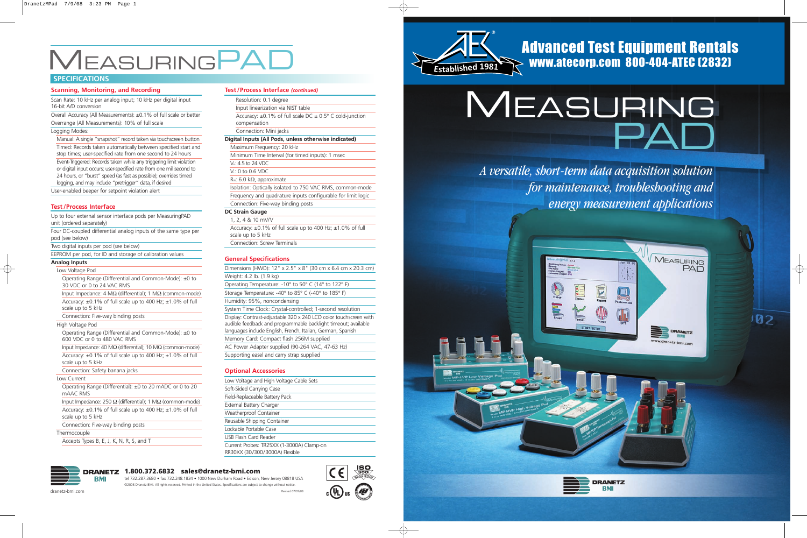#### **Test /Process Interface** *(continued)*

Resolution: 0.1 degree Input linearization via NIST table Accuracy:  $\pm 0.1\%$  of full scale DC  $\pm 0.5^{\circ}$  C cold-junction compensation Connection: Mini jacks **Digital Inputs (All Pods, unless otherwise indicated)** Maximum Frequency: 20 kHz Minimum Time Interval (for timed inputs): 1 msec VH: 4.5 to 24 VDC V<sub>i</sub>: 0 to 0.6 VDC

R<sub>IN</sub>: 6.0 kΩ, approximate

Isolation: Optically isolated to 750 VAC RMS, common-mode Frequency and quadrature inputs configurable for limit logic

Connection: Five-way binding posts

### **DC Strain Gauge**

1, 2, 4 & 10 mV/V Accuracy: ±0.1% of full scale up to 400 Hz; ±1.0% of full scale up to 5 kHz

Connection: Screw Terminals

#### **General Specifications**

Dimensions (HWD): 12" x 2.5" x 8" (30 cm x 6.4 cm x 20.3 cm) Weight: 4.2 lb. (1.9 kg)

Operating Temperature: -10° to 50° C (14° to 122° F) Storage Temperature: -40° to 85° C (-40° to 185° F)

#### Humidity: 95%, noncondensing

System Time Clock: Crystal-controlled; 1-second resolution Display: Contrast-adjustable 320 x 240 LCD color touchscreen with audible feedback and programmable backlight timeout; available languages include English, French, Italian, German, Spanish Memory Card: Compact flash 256M supplied

AC Power Adapter supplied (90-264 VAC, 47-63 Hz) Supporting easel and carry strap supplied

#### **Optional Accessories**

Low Voltage and High Voltage Cable Sets Soft-Sided Carrying Case Field-Replaceable Battery Pack External Battery Charger Weatherproof Container Reusable Shipping Container Lockable Portable Case USB Flash Card Reader Current Probes: TR25XX (1-3000A) Clamp-on RR30XX (30/300/3000A) Flexible





## **SPECIFICATIONS**

# M EASURINGPAD

#### **Scanning, Monitoring, and Recording**

Input Impedance: 250 Ω (differential); 1 MΩ (common-mode) Accuracy: ±0.1% of full scale up to 400 Hz; ±1.0% of full scale up to 5 kHz

Scan Rate: 10 kHz per analog input; 10 kHz per digital input 16-bit A/D conversion

Overall Accuracy (All Measurements): ±0.1% of full scale or better Overrange (All Measurements): 10% of full scale

#### Logging Modes:

Manual: A single "snapshot" record taken via touchscreen button Timed: Records taken automatically between specified start and stop times; user-specified rate from one second to 24 hours Event-Triggered: Records taken while any triggering limit violation or digital input occurs; user-specified rate from one millisecond to 24 hours, or "burst" speed (as fast as possible); overrides timed logging, and may include "pretrigger" data, if desired

User-enabled beeper for setpoint violation alert

### **Test /Process Interface**

Up to four external sensor interface pods per MeasuringPAD unit (ordered separately)

Four DC-coupled differential analog inputs of the same type per pod (see below)

Two digital inputs per pod (see below)

EEPROM per pod, for ID and storage of calibration values

#### **Analog Inputs**

Low Voltage Pod

Operating Range (Differential and Common-Mode): ±0 to 30 VDC or 0 to 24 VAC RMS

Input Impedance: 4 MΩ (differential); 1 MΩ (common-mode) Accuracy: ±0.1% of full scale up to 400 Hz; ±1.0% of full scale up to 5 kHz

Connection: Five-way binding posts

#### High Voltage Pod

Operating Range (Differential and Common-Mode): ±0 to 600 VDC or 0 to 480 VAC RMS

Input Impedance: 40 MΩ (differential); 10 MΩ (common-mode) Accuracy: ±0.1% of full scale up to 400 Hz; ±1.0% of full scale up to 5 kHz

Connection: Safety banana jacks

#### Low Current

Operating Range (Differential): ±0 to 20 mADC or 0 to 20 mAAC RMS

Connection: Five-way binding posts

#### Thermocouple

Accepts Types B, E, J, K, N, R, S, and T



*A versatile, short-term data acquisition solution for maintenance, troubleshooting and energy measurement applications*

102

dranetz-bmi.com

#### **1.800.372.6832 sales@dranetz-bmi.com**

tel 732.287.3680 • fax 732.248.1834 • 1000 New Durham Road • Edison, New Jersey 08818 USA ©2008 Dranetz-BMI. All rights reserved. Printed in the United States. Specifications are subject to change without notice. Revised 07/07/08

## Advanced Test Equipment Rentals www.atecorp.com 800-404-ATEC (2832)





®